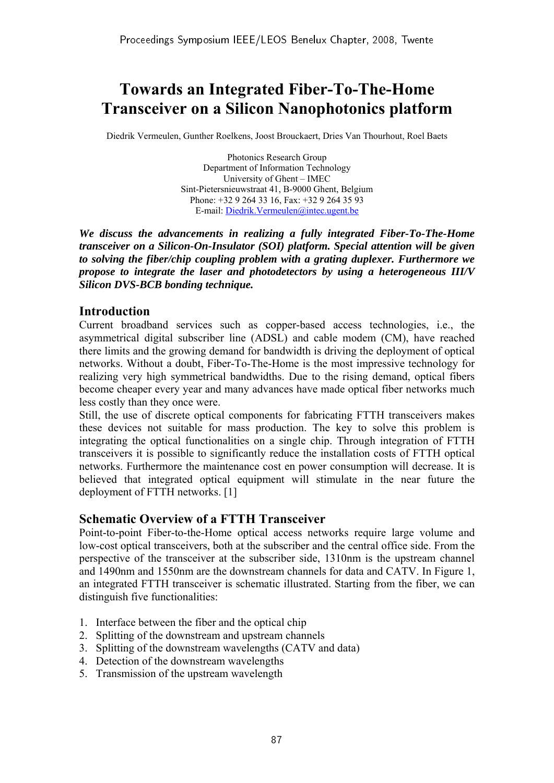# **Towards an Integrated Fiber-To-The-Home Transceiver on a Silicon Nanophotonics platform**

Diedrik Vermeulen, Gunther Roelkens, Joost Brouckaert, Dries Van Thourhout, Roel Baets

Photonics Research Group Department of Information Technology University of Ghent – IMEC Sint-Pietersnieuwstraat 41, B-9000 Ghent, Belgium Phone: +32 9 264 33 16, Fax: +32 9 264 35 93 E-mail: Diedrik.Vermeulen@intec.ugent.be

*We discuss the advancements in realizing a fully integrated Fiber-To-The-Home transceiver on a Silicon-On-Insulator (SOI) platform. Special attention will be given to solving the fiber/chip coupling problem with a grating duplexer. Furthermore we propose to integrate the laser and photodetectors by using a heterogeneous III/V Silicon DVS-BCB bonding technique.* 

## **Introduction**

Current broadband services such as copper-based access technologies, i.e., the asymmetrical digital subscriber line (ADSL) and cable modem (CM), have reached there limits and the growing demand for bandwidth is driving the deployment of optical networks. Without a doubt, Fiber-To-The-Home is the most impressive technology for realizing very high symmetrical bandwidths. Due to the rising demand, optical fibers become cheaper every year and many advances have made optical fiber networks much less costly than they once were.

Still, the use of discrete optical components for fabricating FTTH transceivers makes these devices not suitable for mass production. The key to solve this problem is integrating the optical functionalities on a single chip. Through integration of FTTH transceivers it is possible to significantly reduce the installation costs of FTTH optical networks. Furthermore the maintenance cost en power consumption will decrease. It is believed that integrated optical equipment will stimulate in the near future the deployment of FTTH networks. [1]

# **Schematic Overview of a FTTH Transceiver**

Point-to-point Fiber-to-the-Home optical access networks require large volume and low-cost optical transceivers, both at the subscriber and the central office side. From the perspective of the transceiver at the subscriber side, 1310nm is the upstream channel and 1490nm and 1550nm are the downstream channels for data and CATV. In Figure 1, an integrated FTTH transceiver is schematic illustrated. Starting from the fiber, we can distinguish five functionalities:

- 1. Interface between the fiber and the optical chip
- 2. Splitting of the downstream and upstream channels
- 3. Splitting of the downstream wavelengths (CATV and data)
- 4. Detection of the downstream wavelengths
- 5. Transmission of the upstream wavelength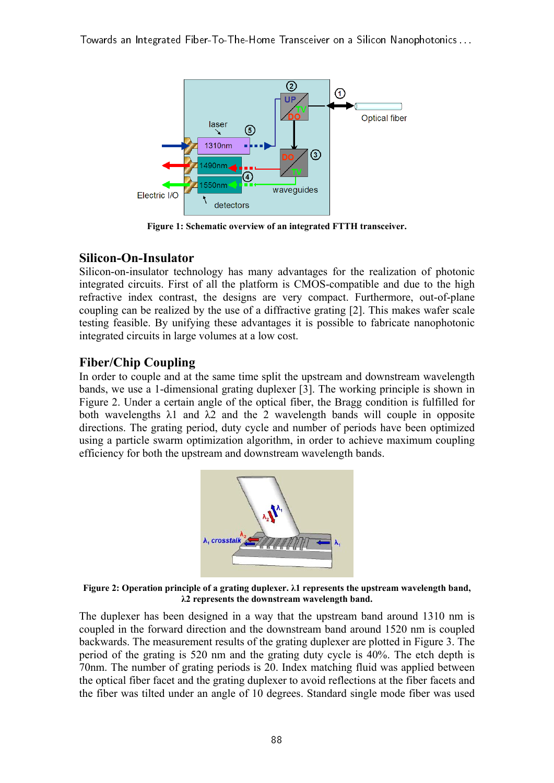Towards an Integrated Fiber-To-The-Home Transceiver on a Silicon Nanophotonics . . .



**Figure 1: Schematic overview of an integrated FTTH transceiver.** 

## **Silicon-On-Insulator**

Silicon-on-insulator technology has many advantages for the realization of photonic integrated circuits. First of all the platform is CMOS-compatible and due to the high refractive index contrast, the designs are very compact. Furthermore, out-of-plane coupling can be realized by the use of a diffractive grating [2]. This makes wafer scale testing feasible. By unifying these advantages it is possible to fabricate nanophotonic integrated circuits in large volumes at a low cost.

## **Fiber/Chip Coupling**

In order to couple and at the same time split the upstream and downstream wavelength bands, we use a 1-dimensional grating duplexer [3]. The working principle is shown in Figure 2. Under a certain angle of the optical fiber, the Bragg condition is fulfilled for both wavelengths  $\lambda$ 1 and  $\lambda$ 2 and the 2 wavelength bands will couple in opposite directions. The grating period, duty cycle and number of periods have been optimized using a particle swarm optimization algorithm, in order to achieve maximum coupling efficiency for both the upstream and downstream wavelength bands.



**Figure 2: Operation principle of a grating duplexer. λ1 represents the upstream wavelength band, λ2 represents the downstream wavelength band.** 

The duplexer has been designed in a way that the upstream band around 1310 nm is coupled in the forward direction and the downstream band around 1520 nm is coupled backwards. The measurement results of the grating duplexer are plotted in Figure 3. The period of the grating is 520 nm and the grating duty cycle is 40%. The etch depth is 70nm. The number of grating periods is 20. Index matching fluid was applied between the optical fiber facet and the grating duplexer to avoid reflections at the fiber facets and the fiber was tilted under an angle of 10 degrees. Standard single mode fiber was used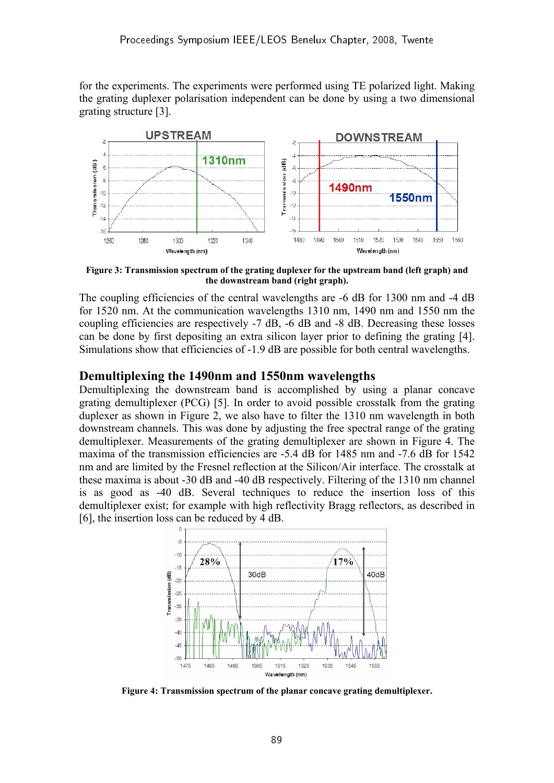for the experiments. The experiments were performed using TE polarized light. Making the grating duplexer polarisation independent can be done by using a two dimensional grating structure [3].



**Figure 3: Transmission spectrum of the grating duplexer for the upstream band (left graph) and the downstream band (right graph).** 

The coupling efficiencies of the central wavelengths are -6 dB for 1300 nm and -4 dB for 1520 nm. At the communication wavelengths 1310 nm, 1490 nm and 1550 nm the coupling efficiencies are respectively -7 dB, -6 dB and -8 dB. Decreasing these losses can be done by first depositing an extra silicon layer prior to defining the grating [4]. Simulations show that efficiencies of -1.9 dB are possible for both central wavelengths.

#### **Demultiplexing the 1490nm and 1550nm wavelengths**

Demultiplexing the downstream band is accomplished by using a planar concave grating demultiplexer (PCG) [5]. In order to avoid possible crosstalk from the grating duplexer as shown in Figure 2, we also have to filter the 1310 nm wavelength in both downstream channels. This was done by adjusting the free spectral range of the grating demultiplexer. Measurements of the grating demultiplexer are shown in Figure 4. The maxima of the transmission efficiencies are -5.4 dB for 1485 nm and -7.6 dB for 1542 nm and are limited by the Fresnel reflection at the Silicon/Air interface. The crosstalk at these maxima is about -30 dB and -40 dB respectively. Filtering of the 1310 nm channel is as good as -40 dB. Several techniques to reduce the insertion loss of this demultiplexer exist; for example with high reflectivity Bragg reflectors, as described in [6], the insertion loss can be reduced by 4 dB.



**Figure 4: Transmission spectrum of the planar concave grating demultiplexer.**